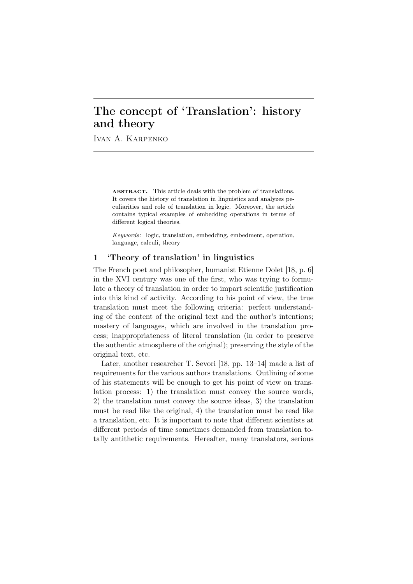# The concept of 'Translation': history and theory

Ivan A. Karpenko

ABSTRACT. This article deals with the problem of translations. It covers the history of translation in linguistics and analyzes peculiarities and role of translation in logic. Moreover, the article contains typical examples of embedding operations in terms of different logical theories.

*Keywords:* logic, translation, embedding, embedment, operation, language, calculi, theory

## 1 'Theory of translation' in linguistics

The French poet and philosopher, humanist Etienne Dolet [18, p. 6] in the XVI century was one of the first, who was trying to formulate a theory of translation in order to impart scientific justification into this kind of activity. According to his point of view, the true translation must meet the following criteria: perfect understanding of the content of the original text and the author's intentions; mastery of languages, which are involved in the translation process; inappropriateness of literal translation (in order to preserve the authentic atmosphere of the original); preserving the style of the original text, etc.

Later, another researcher T. Sevori [18, pp. 13–14] made a list of requirements for the various authors translations. Outlining of some of his statements will be enough to get his point of view on translation process: 1) the translation must convey the source words, 2) the translation must convey the source ideas, 3) the translation must be read like the original, 4) the translation must be read like a translation, etc. It is important to note that different scientists at different periods of time sometimes demanded from translation totally antithetic requirements. Hereafter, many translators, serious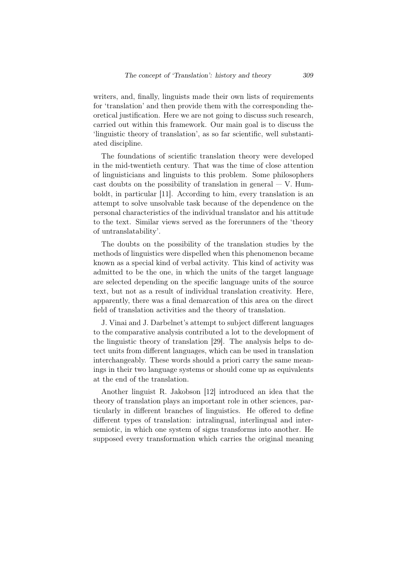writers, and, finally, linguists made their own lists of requirements for 'translation' and then provide them with the corresponding theoretical justification. Here we are not going to discuss such research, carried out within this framework. Our main goal is to discuss the 'linguistic theory of translation', as so far scientific, well substantiated discipline.

The foundations of scientific translation theory were developed in the mid-twentieth century. That was the time of close attention of linguisticians and linguists to this problem. Some philosophers cast doubts on the possibility of translation in general  $-$  V. Humboldt, in particular [11]. According to him, every translation is an attempt to solve unsolvable task because of the dependence on the personal characteristics of the individual translator and his attitude to the text. Similar views served as the forerunners of the 'theory of untranslatability'.

The doubts on the possibility of the translation studies by the methods of linguistics were dispelled when this phenomenon became known as a special kind of verbal activity. This kind of activity was admitted to be the one, in which the units of the target language are selected depending on the specific language units of the source text, but not as a result of individual translation creativity. Here, apparently, there was a final demarcation of this area on the direct field of translation activities and the theory of translation.

J. Vinai and J. Darbelnet's attempt to subject different languages to the comparative analysis contributed a lot to the development of the linguistic theory of translation [29]. The analysis helps to detect units from different languages, which can be used in translation interchangeably. These words should a priori carry the same meanings in their two language systems or should come up as equivalents at the end of the translation.

Another linguist R. Jakobson [12] introduced an idea that the theory of translation plays an important role in other sciences, particularly in different branches of linguistics. He offered to define different types of translation: intralingual, interlingual and intersemiotic, in which one system of signs transforms into another. He supposed every transformation which carries the original meaning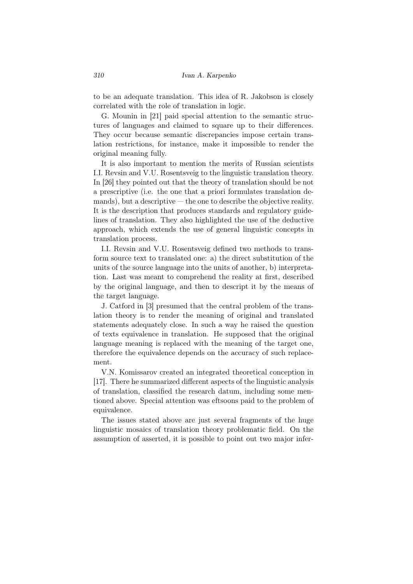to be an adequate translation. This idea of R. Jakobson is closely correlated with the role of translation in logic.

G. Mounin in [21] paid special attention to the semantic structures of languages and claimed to square up to their differences. They occur because semantic discrepancies impose certain translation restrictions, for instance, make it impossible to render the original meaning fully.

It is also important to mention the merits of Russian scientists I.I. Revsin and V.U. Rosentsveig to the linguistic translation theory. In [26] they pointed out that the theory of translation should be not a prescriptive (i.e. the one that a priori formulates translation de $m$  mands), but a descriptive  $-$  the one to describe the objective reality. It is the description that produces standards and regulatory guidelines of translation. They also highlighted the use of the deductive approach, which extends the use of general linguistic concepts in translation process.

I.I. Revsin and V.U. Rosentsveig defined two methods to transform source text to translated one: a) the direct substitution of the units of the source language into the units of another, b) interpretation. Last was meant to comprehend the reality at first, described by the original language, and then to descript it by the means of the target language.

J. Catford in [3] presumed that the central problem of the translation theory is to render the meaning of original and translated statements adequately close. In such a way he raised the question of texts equivalence in translation. He supposed that the original language meaning is replaced with the meaning of the target one, therefore the equivalence depends on the accuracy of such replacement.

V.N. Komissarov created an integrated theoretical conception in [17]. There he summarized different aspects of the linguistic analysis of translation, classified the research datum, including some mentioned above. Special attention was eftsoons paid to the problem of equivalence.

The issues stated above are just several fragments of the huge linguistic mosaics of translation theory problematic field. On the assumption of asserted, it is possible to point out two major infer-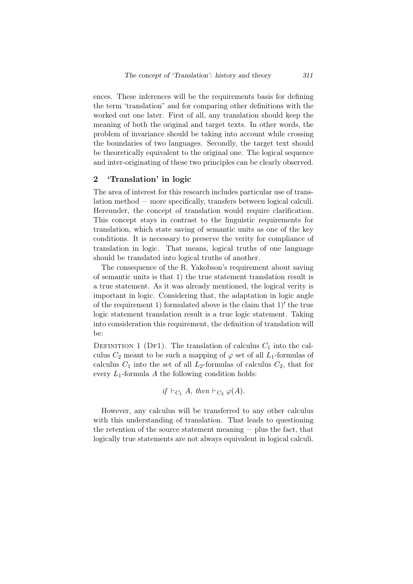ences. These inferences will be the requirements basis for defining the term 'translation" and for comparing other definitions with the worked out one later. First of all, any translation should keep the meaning of both the original and target texts. In other words, the problem of invariance should be taking into account while crossing the boundaries of two languages. Secondly, the target text should be theoretically equivalent to the original one. The logical sequence and inter-originating of these two principles can be clearly observed.

## 2 'Translation' in logic

The area of interest for this research includes particular use of translation method — more specifically, transfers between logical calculi. Hereunder, the concept of translation would require clarification. This concept stays in contrast to the linguistic requirements for translation, which state saving of semantic units as one of the key conditions. It is necessary to preserve the verity for compliance of translation in logic. That means, logical truths of one language should be translated into logical truths of another.

The consequence of the R. Yakobson's requirement about saving of semantic units is that 1) the true statement translation result is a true statement. As it was already mentioned, the logical verity is important in logic. Considering that, the adaptation in logic angle of the requirement 1) formulated above is the claim that 1)*′* the true logic statement translation result is a true logic statement. Taking into consideration this requirement, the definition of translation will be:

DEFINITION 1 (DF1). The translation of calculus  $C_1$  into the calculus  $C_2$  meant to be such a mapping of  $\varphi$  set of all  $L_1$ -formulas of calculus  $C_1$  into the set of all  $L_2$ -formulas of calculus  $C_2$ , that for every *L*1-formula *A* the following condition holds:

if 
$$
\vdash_{C_1} A
$$
, then  $\vdash_{C_2} \varphi(A)$ .

However, any calculus will be transferred to any other calculus with this understanding of translation. That leads to questioning the retention of the source statement meaning — plus the fact, that logically true statements are not always equivalent in logical calculi.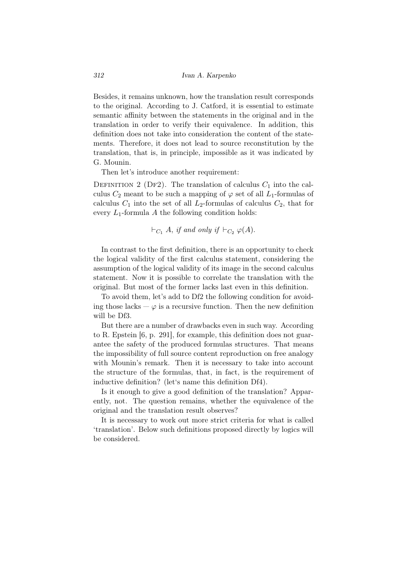Besides, it remains unknown, how the translation result corresponds to the original. According to J. Catford, it is essential to estimate semantic affinity between the statements in the original and in the translation in order to verify their equivalence. In addition, this definition does not take into consideration the content of the statements. Therefore, it does not lead to source reconstitution by the translation, that is, in principle, impossible as it was indicated by G. Mounin.

Then let's introduce another requirement:

DEFINITION 2 (DF2). The translation of calculus  $C_1$  into the calculus  $C_2$  meant to be such a mapping of  $\varphi$  set of all  $L_1$ -formulas of calculus  $C_1$  into the set of all  $L_2$ -formulas of calculus  $C_2$ , that for every  $L_1$ -formula A the following condition holds:

$$
\vdash_{C_1} A, \text{ if and only if } \vdash_{C_2} \varphi(A).
$$

In contrast to the first definition, there is an opportunity to check the logical validity of the first calculus statement, considering the assumption of the logical validity of its image in the second calculus statement. Now it is possible to correlate the translation with the original. But most of the former lacks last even in this definition.

To avoid them, let's add to Df2 the following condition for avoiding those lacks  $-\varphi$  is a recursive function. Then the new definition will be Df3.

But there are a number of drawbacks even in such way. According to R. Epstein [6, p. 291], for example, this definition does not guarantee the safety of the produced formulas structures. That means the impossibility of full source content reproduction on free analogy with Mounin's remark. Then it is necessary to take into account the structure of the formulas, that, in fact, is the requirement of inductive definition? (let's name this definition Df4).

Is it enough to give a good definition of the translation? Apparently, not. The question remains, whether the equivalence of the original and the translation result observes?

It is necessary to work out more strict criteria for what is called 'translation'. Below such definitions proposed directly by logics will be considered.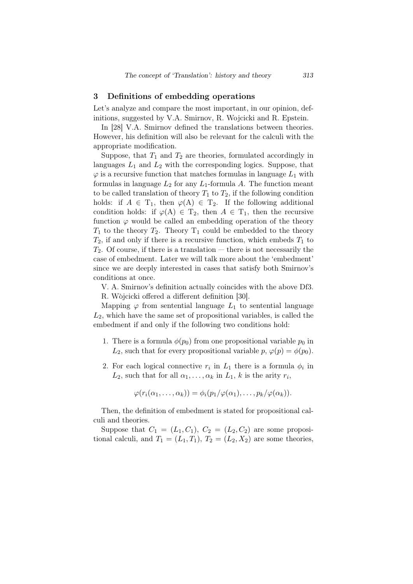## 3 Definitions of embedding operations

Let's analyze and compare the most important, in our opinion, definitions, suggested by V.A. Smirnov, R. Wojcicki and R. Epstein.

In [28] V.A. Smirnov defined the translations between theories. However, his definition will also be relevant for the calculi with the appropriate modification.

Suppose, that  $T_1$  and  $T_2$  are theories, formulated accordingly in languages *L*<sup>1</sup> and *L*<sup>2</sup> with the corresponding logics. Suppose, that  $\varphi$  is a recursive function that matches formulas in language  $L_1$  with formulas in language  $L_2$  for any  $L_1$ -formula  $A$ . The function meant to be called translation of theory  $T_1$  to  $T_2$ , if the following condition holds: if  $A \in T_1$ , then  $\varphi(A) \in T_2$ . If the following additional condition holds: if  $\varphi(A) \in T_2$ , then  $A \in T_1$ , then the recursive function  $\varphi$  would be called an embedding operation of the theory  $T_1$  to the theory  $T_2$ . Theory  $T_1$  could be embedded to the theory  $T_2$ , if and only if there is a recursive function, which embeds  $T_1$  to *T*2. Of course, if there is a translation — there is not necessarily the case of embedment. Later we will talk more about the 'embedment' since we are deeply interested in cases that satisfy both Smirnov's conditions at once.

V. A. Smirnov's definition actually coincides with the above Df3.

R. Wòjcicki offered a different definition [30].

Mapping  $\varphi$  from sentential language  $L_1$  to sentential language *L*2, which have the same set of propositional variables, is called the embedment if and only if the following two conditions hold:

- 1. There is a formula  $\phi(p_0)$  from one propositional variable  $p_0$  in *L*<sub>2</sub>, such that for every propositional variable  $p, \varphi(p) = \varphi(p_0)$ .
- 2. For each logical connective  $r_i$  in  $L_1$  there is a formula  $\phi_i$  in  $L_2$ , such that for all  $\alpha_1, \ldots, \alpha_k$  in  $L_1$ , *k* is the arity  $r_i$ ,

$$
\varphi(r_i(\alpha_1,\ldots,\alpha_k))=\phi_i(p_1/\varphi(\alpha_1),\ldots,p_k/\varphi(\alpha_k)).
$$

Then, the definition of embedment is stated for propositional calculi and theories.

Suppose that  $C_1 = (L_1, C_1), C_2 = (L_2, C_2)$  are some propositional calculi, and  $T_1 = (L_1, T_1), T_2 = (L_2, X_2)$  are some theories,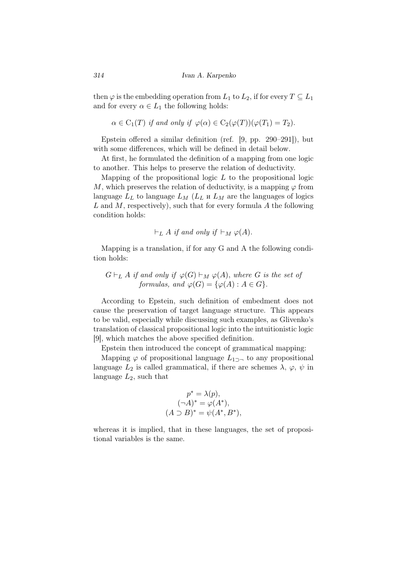then  $\varphi$  is the embedding operation from  $L_1$  to  $L_2$ , if for every  $T \subseteq L_1$ and for every  $\alpha \in L_1$  the following holds:

$$
\alpha \in C_1(T)
$$
 if and only if  $\varphi(\alpha) \in C_2(\varphi(T))(\varphi(T_1) = T_2)$ .

Epstein offered a similar definition (ref. [9, pp. 290–291]), but with some differences, which will be defined in detail below.

At first, he formulated the definition of a mapping from one logic to another. This helps to preserve the relation of deductivity.

Mapping of the propositional logic *L* to the propositional logic *M*, which preserves the relation of deductivity, is a mapping  $\varphi$  from language  $L_L$  to language  $L_M$  ( $L_L$  *u*  $L_M$  are the languages of logics *L* and *M*, respectively), such that for every formula *A* the following condition holds:

$$
\vdash_L A \text{ if and only if } \vdash_M \varphi(A).
$$

Mapping is a translation, if for any G and А the following condition holds:

## $G ⊢ L A$  *if and only if*  $\varphi(G) ⊢ M \varphi(A)$ *, where G is the set of formulas, and*  $\varphi(G) = {\varphi(A) : A \in G}$ .

According to Epstein, such definition of embedment does not cause the preservation of target language structure. This appears to be valid, especially while discussing such examples, as Glivenko's translation of classical propositional logic into the intuitionistic logic [9], which matches the above specified definition.

Epstein then introduced the concept of grammatical mapping:

Mapping  $\varphi$  of propositional language  $L_{1}$ <sub>2</sub> to any propositional language  $L_2$  is called grammatical, if there are schemes  $\lambda$ ,  $\varphi$ ,  $\psi$  in language *L*2, such that

$$
p^* = \lambda(p),
$$
  
\n
$$
(\neg A)^* = \varphi(A^*),
$$
  
\n
$$
(A \supset B)^* = \psi(A^*, B^*),
$$

whereas it is implied, that in these languages, the set of propositional variables is the same.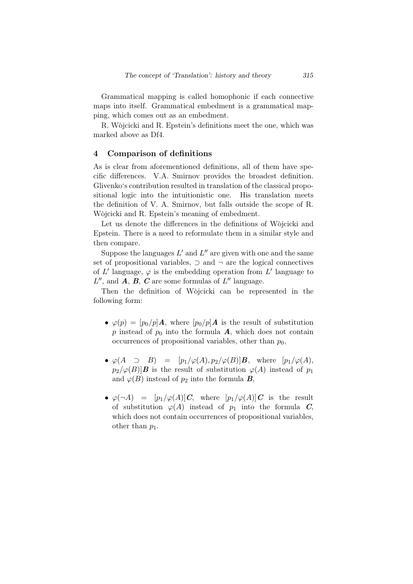Grammatical mapping is called homophonic if each connective maps into itself. Grammatical embedment is a grammatical mapping, which comes out as an embedment.

R. Wòjcicki and R. Epstein's definitions meet the one, which was marked above as Df4.

#### 4 Comparison of definitions

As is clear from aforementioned definitions, all of them have specific differences. V.A. Smirnov provides the broadest definition. Glivenko's contribution resulted in translation of the classical propositional logic into the intuitionistic one. His translation meets the definition of V. A. Smirnov, but falls outside the scope of R. Wojcicki and R. Epstein's meaning of embedment.

Let us denote the differences in the definitions of Wojcicki and Epstein. There is a need to reformulate them in a similar style and then compare.

Suppose the languages  $L'$  and  $L''$  are given with one and the same set of propositional variables, *⊃* and *¬* are the logical connectives of L' language,  $\varphi$  is the embedding operation from L' language to  $L''$ , and  $A$ ,  $B$ ,  $C$  are some formulas of  $L''$  language.

Then the definition of Wojcicki can be represented in the following form:

- $\varphi(p) = [p_0/p] \mathbf{A}$ , where  $[p_0/p] \mathbf{A}$  is the result of substitution *p* instead of  $p_0$  into the formula *A*, which does not contain occurrences of propositional variables, other than  $p_0$ ,
- $\varphi(A \supset B) = [p_1/\varphi(A), p_2/\varphi(B)]B$ , where  $[p_1/\varphi(A), p_2/\varphi(B)]$  $p_2/\varphi(B)$ *B* is the result of substitution  $\varphi(A)$  instead of  $p_1$ and  $\varphi(B)$  instead of  $p_2$  into the formula *B*,
- $\varphi(\neg A) = [p_1/\varphi(A)]C$ , where  $[p_1/\varphi(A)]C$  is the result of substitution  $\varphi(A)$  instead of  $p_1$  into the formula *C*, which does not contain occurrences of propositional variables, other than  $p_1$ .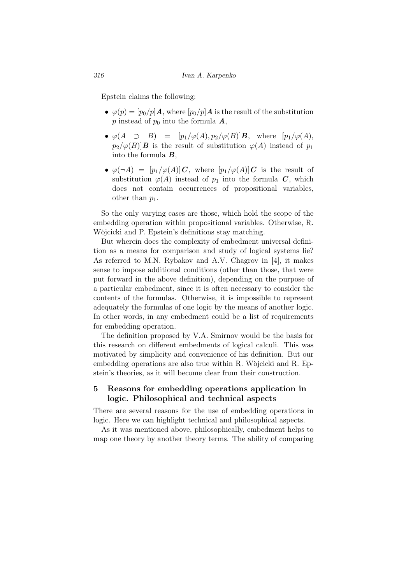Epstein claims the following:

- $\varphi(p) = [p_0/p] \mathbf{A}$ , where  $[p_0/p] \mathbf{A}$  is the result of the substitution *p* instead of  $p_0$  into the formula  $\boldsymbol{A}$ ,
- $\varphi(A \supset B) = [p_1/\varphi(A), p_2/\varphi(B)]B$ , where  $[p_1/\varphi(A), p_2/\varphi(B)]$  $p_2/\varphi(B)$ *B* is the result of substitution  $\varphi(A)$  instead of  $p_1$ into the formula *B*,
- $\varphi(\neg A) = [p_1/\varphi(A)]C$ , where  $[p_1/\varphi(A)]C$  is the result of substitution  $\varphi(A)$  instead of  $p_1$  into the formula *C*, which does not contain occurrences of propositional variables, other than *p*1.

So the only varying cases are those, which hold the scope of the embedding operation within propositional variables. Otherwise, R. Wòjcicki and P. Epstein's definitions stay matching.

But wherein does the complexity of embedment universal definition as a means for comparison and study of logical systems lie? As referred to M.N. Rybakov and A.V. Chagrov in [4], it makes sense to impose additional conditions (other than those, that were put forward in the above definition), depending on the purpose of a particular embedment, since it is often necessary to consider the contents of the formulas. Otherwise, it is impossible to represent adequately the formulas of one logic by the means of another logic. In other words, in any embedment could be a list of requirements for embedding operation.

The definition proposed by V.A. Smirnov would be the basis for this research on different embedments of logical calculi. This was motivated by simplicity and convenience of his definition. But our embedding operations are also true within R. Wojcicki and R. Epstein's theories, as it will become clear from their construction.

## 5 Reasons for embedding operations application in logic. Philosophical and technical aspects

There are several reasons for the use of embedding operations in logic. Here we can highlight technical and philosophical aspects.

As it was mentioned above, philosophically, embedment helps to map one theory by another theory terms. The ability of comparing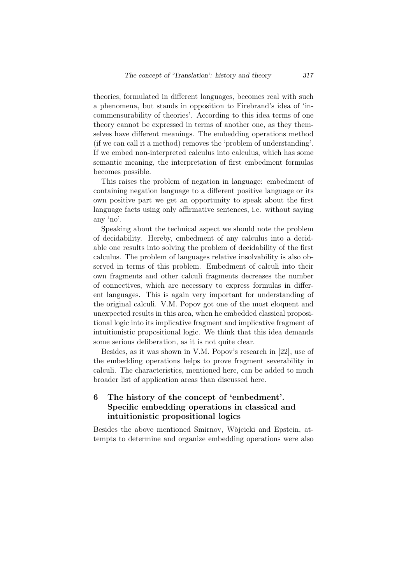theories, formulated in different languages, becomes real with such a phenomena, but stands in opposition to Firebrand's idea of 'incommensurability of theories'. According to this idea terms of one theory cannot be expressed in terms of another one, as they themselves have different meanings. The embedding operations method (if we can call it a method) removes the 'problem of understanding'. If we embed non-interpreted calculus into calculus, which has some semantic meaning, the interpretation of first embedment formulas becomes possible.

This raises the problem of negation in language: embedment of containing negation language to a different positive language or its own positive part we get an opportunity to speak about the first language facts using only affirmative sentences, i.e. without saying any 'no'.

Speaking about the technical aspect we should note the problem of decidability. Hereby, embedment of any calculus into a decidable one results into solving the problem of decidability of the first calculus. The problem of languages relative insolvability is also observed in terms of this problem. Embedment of calculi into their own fragments and other calculi fragments decreases the number of connectives, which are necessary to express formulas in different languages. This is again very important for understanding of the original calculi. V.M. Popov got one of the most eloquent and unexpected results in this area, when he embedded classical propositional logic into its implicative fragment and implicative fragment of intuitionistic propositional logic. We think that this idea demands some serious deliberation, as it is not quite clear.

Besides, as it was shown in V.M. Popov's research in [22], use of the embedding operations helps to prove fragment severability in calculi. The characteristics, mentioned here, can be added to much broader list of application areas than discussed here.

# 6 The history of the concept of 'embedment'. Specific embedding operations in classical and intuitionistic propositional logics

Besides the above mentioned Smirnov, Wojcicki and Epstein, attempts to determine and organize embedding operations were also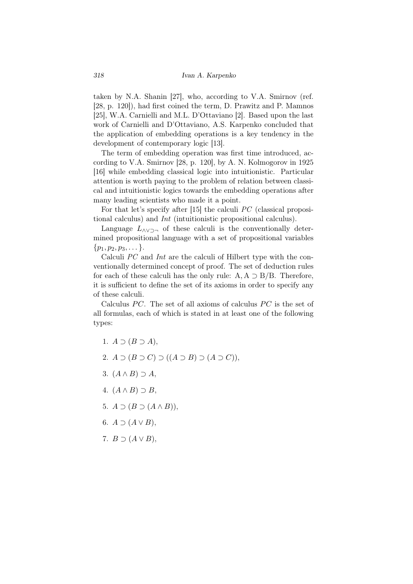taken by N.A. Shanin [27], who, according to V.A. Smirnov (ref. [28, p. 120]), had first coined the term, D. Prawitz and P. Mamnos [25], W.A. Carnielli and M.L. D'Ottaviano [2]. Based upon the last work of Carnielli and D'Ottaviano, A.S. Karpenko concluded that the application of embedding operations is a key tendency in the development of contemporary logic [13].

The term of embedding operation was first time introduced, according to V.A. Smirnov [28, p. 120], by A. N. Kolmogorov in 1925 [16] while embedding classical logic into intuitionistic. Particular attention is worth paying to the problem of relation between classical and intuitionistic logics towards the embedding operations after many leading scientists who made it a point.

For that let's specify after [15] the calculi *PC* (classical propositional calculus) and *Int* (intuitionistic propositional calculus).

Language *L∧∨⊃¬* of these calculi is the conventionally determined propositional language with a set of propositional variables *{p*1*, p*2*, p*3*, . . . }*.

Calculi *PC* and *Int* are the calculi of Hilbert type with the conventionally determined concept of proof. The set of deduction rules for each of these calculi has the only rule: А*,* А *⊃* В*/*В. Therefore, it is sufficient to define the set of its axioms in order to specify any of these calculi.

Calculus PC. The set of all axioms of calculus PC is the set of all formulas, each of which is stated in at least one of the following types:

1.  $A \supset (B \supset A)$ , 2.  $A \supset (B \supset C) \supset ((A \supset B) \supset (A \supset C))$ , 3. (*A ∧ B*) *⊃ A*, 4.  $(A \wedge B) \supset B$ , 5.  $A \supset (B \supset (A \wedge B)).$ 6.  $A \supset (A \vee B)$ , 7.  $B \supset (A \vee B)$ ,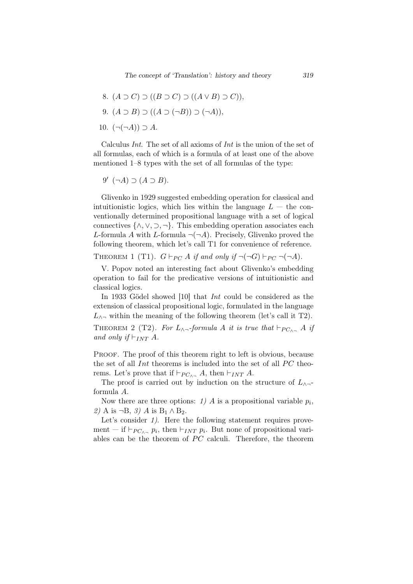- 8.  $(A ⊇ C) ⊇ ((B ⊇ C) ⊇ ((A ∨ B) ⊃ C)$
- 9.  $(A ⊃ B) ⊇ ((A ⊇ (¬B)) ⊇ (¬A)),$
- 10.  $(¬(¬A)) ∋ A$ .

Calculus *Int*. The set of all axioms of *Int* is the union of the set of all formulas, each of which is a formula of at least one of the above mentioned 1–8 types with the set of all formulas of the type:

$$
9' \ (\neg A) \supset (A \supset B).
$$

Glivenko in 1929 suggested embedding operation for classical and intuitionistic logics, which lies within the language  $L -$  the conventionally determined propositional language with a set of logical connectives  $\{\wedge, \vee, \supset, \neg\}$ . This embedding operation associates each *L*-formula *A* with *L*-formula  $\neg(\neg A)$ . Precisely, Glivenko proved the following theorem, which let's call T1 for convenience of reference. THEOREM 1 (T1).  $G \vdash_{PC} A$  *if and only if*  $\neg(\neg G) \vdash_{PC} \neg(\neg A)$ *.* 

V. Popov noted an interesting fact about Glivenko's embedding operation to fail for the predicative versions of intuitionistic and classical logics.

In 1933 Gödel showed [10] that *Int* could be considered as the extension of classical propositional logic, formulated in the language  $L_{\wedge}$  within the meaning of the following theorem (let's call it T2). THEOREM 2 (T2). For  $L_{\wedge \neg}$ -formula *A it is true that*  $\models_{PC_{\wedge \neg}} A$  *if and only if*  $⊢$ <sub>*INT*</sub> *A.* 

PROOF. The proof of this theorem right to left is obvious, because the set of all *Int* theorems is included into the set of all PC theorems. Let's prove that if  $\vdash_{PC \wedge \neg} A$ , then  $\vdash_{INT} A$ .

The proof is carried out by induction on the structure of *L∧¬* formula *A*.

Now there are three options:  $1)$  *A* is a propositional variable  $p_i$ , *2)* А is *¬*В, *3) A* is В<sup>1</sup> *∧* В2.

Let's consider 1). Here the following statement requires provement — if  $\vdash_{PC_{\wedge \neg}} p_i$ , then  $\vdash_{INT} p_i$ . But none of propositional variables can be the theorem of  $PC$  calculi. Therefore, the theorem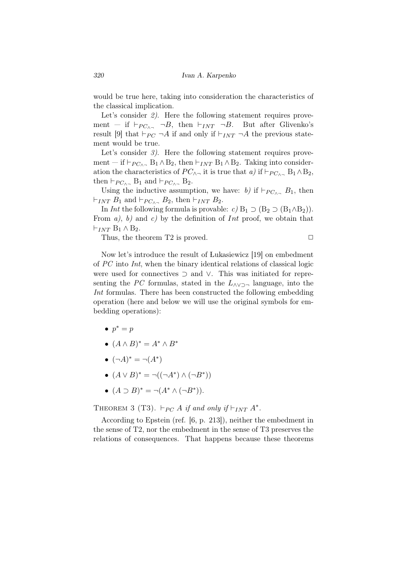would be true here, taking into consideration the characteristics of the classical implication.

Let's consider 2). Here the following statement requires provement — if  $\vdash_{PC_{\land} \neg} \neg B$ , then  $\vdash_{INT} \neg B$ . But after Glivenko's result [9] that  $\vdash_{PC} \neg A$  if and only if  $\vdash_{INT} \neg A$  the previous statement would be true.

Let's consider 3). Here the following statement requires provement — if  $\vdash_{PC_0}$ , B<sub>1</sub> ∧ B<sub>2</sub>, then  $\vdash_{INT}$  B<sub>1</sub> ∧ B<sub>2</sub>. Taking into consideration the characteristics of  $PC_{\land}$  it is true that *a)* if  $\vdash_{PC_{\land}{}^{\frown}} B_1 \land B_2$ , then  $\vdash_{PC_{\land}\neg}$  B<sub>1</sub> and  $\vdash_{PC_{\land}\neg}$  B<sub>2</sub>.

Using the inductive assumption, we have: *b)* if  $\vdash_{PC_{\wedge \neg}} B_1$ , then  $⊢$ *INT*  $B_1$  and  $⊢_{PC_0}$ ,  $B_2$ , then  $⊢_{INT}$   $B_2$ .

In *Int* the following formula is provable: *c*)  $B_1 \supset (B_2 \supset (B_1 \wedge B_2))$ . From *a)*, *b)* and *c)* by the definition of *Int* proof, we obtain that *⊢INT* В<sup>1</sup> *∧* В2.

Thus, the theorem T2 is proved.  $\Box$ 

Now let's introduce the result of Lukasiewicz [19] on embedment of *PC* into *Int*, when the binary identical relations of classical logic were used for connectives *⊃* and *∨*. This was initiated for representing the *PC* formulas, stated in the *L∧∨⊃¬* language, into the *Int* formulas. There has been constructed the following embedding operation (here and below we will use the original symbols for embedding operations):

- *• p <sup>∗</sup>* = *p*
- $(A \wedge B)^* = A^* \wedge B^*$
- $(\neg A)^* = \neg (A^*)$
- *•*  $(A \lor B)^* = \neg((\neg A^*) \land (\neg B^*))$
- *•* (*A ⊃ B*) *<sup>∗</sup>* = *¬*(*A<sup>∗</sup> ∧* (*¬B<sup>∗</sup>* )).

THEOREM 3 (T3).  $\vdash_{PC} A$  *if and only if*  $\vdash_{INT} A^*$ .

According to Epstein (ref. [6, p. 213]), neither the embedment in the sense of T2, nor the embedment in the sense of T3 preserves the relations of consequences. That happens because these theorems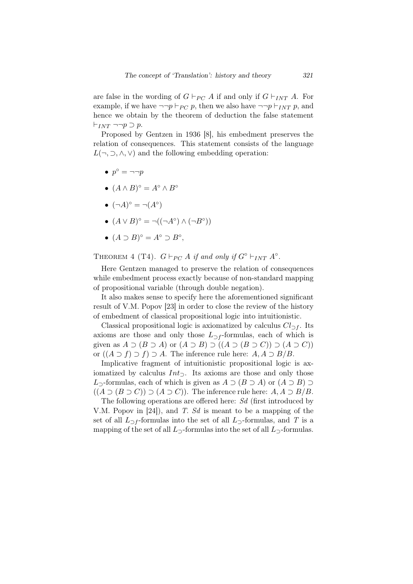are false in the wording of  $G \vdash_{PC} A$  if and only if  $G \vdash_{INT} A$ . For example, if we have  $\neg\neg p \vdash_{PC} p$ , then we also have  $\neg\neg p \vdash_{INT} p$ , and hence we obtain by the theorem of deduction the false statement *⊢INT ¬¬p ⊃ p*.

Proposed by Gentzen in 1936 [8], his embedment preserves the relation of consequences. This statement consists of the language  $L(\neg, \supset, \wedge, \vee)$  and the following embedding operation:

- *• p ◦* = *¬¬p*
- $(A \wedge B)^\circ = A^\circ \wedge B^\circ$
- $(\neg A)^\circ = \neg (A^\circ)$
- $(A \lor B)^{\circ} = \neg((\neg A^{\circ}) \land (\neg B^{\circ}))$
- $(A \supset B)^\circ = A^\circ \supset B^\circ$ ,

THEOREM 4 (T4).  $G \vdash_{PC} A$  *if and only if*  $G^{\circ} \vdash_{INT} A^{\circ}$ .

Here Gentzen managed to preserve the relation of consequences while embedment process exactly because of non-standard mapping of propositional variable (through double negation).

It also makes sense to specify here the aforementioned significant result of V.M. Popov [23] in order to close the review of the history of embedment of classical propositional logic into intuitionistic.

Classical propositional logic is axiomatized by calculus  $Cl_{\supset f}$ . Its axioms are those and only those  $L_{\supset f}$ -formulas, each of which is given as  $A \supset (B \supset A)$  or  $(A \supset B) \supset ((A \supset (B \supset C)) \supset (A \supset C))$ or ((*A ⊃ f*) *⊃ f*) *⊃ A*. The inference rule here: *A, A ⊃ B/B*.

Implicative fragment of intuitionistic propositional logic is axiomatized by calculus *Int⊃*. Its axioms are those and only those *L*<sub></sub><sub>2</sub>-formulas, each of which is given as  $A \supset (B \supset A)$  or  $(A \supset B) \supset A$  $((A ⊇ (B ⊇ C)) ⊇ (A ⊇ C))$ . The inference rule here:  $A, A ⊇ B/B$ .

The following operations are offered here: *Sd* (first introduced by V.M. Popov in [24]), and *T*. *Sd* is meant to be a mapping of the set of all  $L_{\supset f}$ -formulas into the set of all  $L_{\supset f}$ -formulas, and *T* is a mapping of the set of all  $L_2$ -formulas into the set of all  $L_2$ -formulas.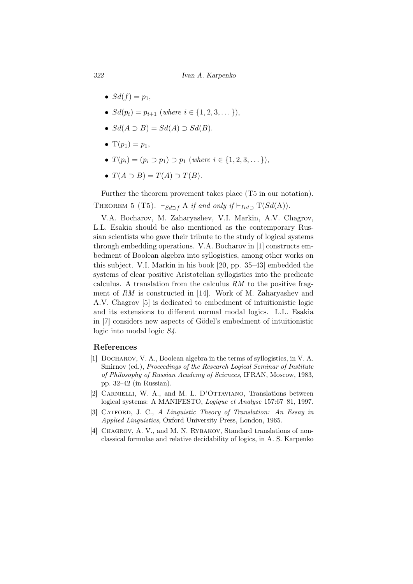*322 Ivan A. Karpenko*

- $Sd(f) = p_1$ ,
- *•*  $Sd(p_i) = p_{i+1}$  (*where i* ∈ {1*,* 2*,* 3*, . . .* }),
- $Sd(A \supset B) = Sd(A) \supset Sd(B).$
- $T(p_1) = p_1$ ,
- *•*  $T(p_i) = (p_i \supset p_1) \supset p_1$  (*where*  $i \in \{1, 2, 3, \dots\}$ ),
- $T(A \supset B) = T(A) \supset T(B)$ .

Further the theorem provement takes place (T5 in our notation). THEOREM 5 (T5).  $\vdash_{Sd \supset f} A$  *if and only if*  $\vdash_{Int \supset T}(Sd(A)).$ 

V.A. Bocharov, M. Zaharyashev, V.I. Markin, A.V. Chagrov, L.L. Esakia should be also mentioned as the contemporary Russian scientists who gave their tribute to the study of logical systems through embedding operations. V.A. Bocharov in [1] constructs embedment of Boolean algebra into syllogistics, among other works on this subject. V.I. Markin in his book [20, pp. 35–43] embedded the systems of clear positive Aristotelian syllogistics into the predicate calculus. A translation from the calculus *RM* to the positive fragment of *RM* is constructed in [14]. Work of M. Zaharyashev and A.V. Chagrov [5] is dedicated to embedment of intuitionistic logic and its extensions to different normal modal logics. L.L. Esakia in [7] considers new aspects of Gödel's embedment of intuitionistic logic into modal logic *S4*.

## References

- [1] Bocharov, V. A., Boolean algebra in the terms of syllogistics, in V. A. Smirnov (ed.), *Proceedings of the Research Logical Seminar of Institute of Philosophy of Russian Academy of Sciences*, IFRAN, Moscow, 1983, pp. 32–42 (in Russian).
- [2] CARNIELLI, W. A., and M. L. D'OTTAVIANO, Translations between logical systems: A MANIFESTO, *Logique et Analyse* 157:67–81, 1997.
- [3] Catford, J. C., *A Linguistic Theory of Translation: An Essay in Applied Linguistics*, Oxford University Press, London, 1965.
- [4] CHAGROV, A. V., and M. N. RYBAKOV, Standard translations of nonclassical formulae and relative decidability of logics, in A. S. Karpenko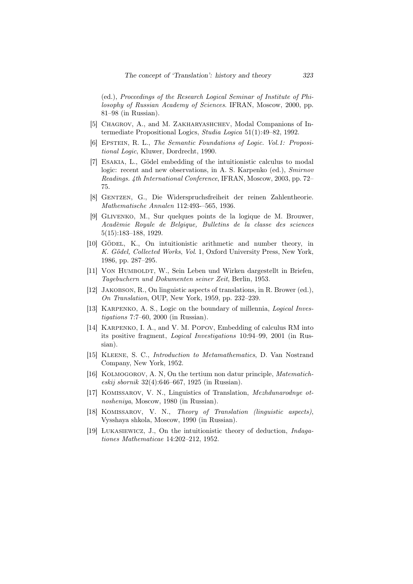(ed.), *Proceedings of the Research Logical Seminar of Institute of Philosophy of Russian Academy of Sciences*. IFRAN, Moscow, 2000, pp. 81–98 (in Russian).

- [5] CHAGROV, A., and M. ZAKHARYASHCHEV, Modal Companions of Intermediate Propositional Logics, *Studia Logica* 51(1):49–82, 1992.
- [6] Epstein, R. L., *The Semantic Foundations of Logic. Vol.1: Propositional Logic*, Kluwer, Dordrecht, 1990.
- [7] ESAKIA, L., Gödel embedding of the intuitionistic calculus to modal logic: recent and new observations, in A. S. Karpenko (ed.), *Smirnov Readings. 4th International Conference*, IFRAN, Moscow, 2003, pp. 72– 75.
- [8] Gentzen, G., Die Widerspruchsfreiheit der reinen Zahlentheorie. *Mathematische Annalen* 112:493-–565, 1936.
- [9] Glivenko, M., Sur quelques points de la logique de M. Brouwer, *Acad`emie Royale de Belgique, Bulletins de la classe des sciences* 5(15):183–188, 1929.
- [10] GÖDEL, K., On intuitionistic arithmetic and number theory, in *K. G¨odel, Collected Works*, *Vol*. 1, Oxford University Press, New York, 1986, pp. 287–295.
- [11] VON HUMBOLDT, W., Sein Leben und Wirken dargestellt in Briefen, *Tagebuchern und Dokumenten seiner Zeit*, Berlin, 1953.
- [12] JAKOBSON, R., On linguistic aspects of translations, in R. Brower (ed.), *On Translation*, OUP, New York, 1959, pp. 232–239.
- [13] Karpenko, A. S., Logic on the boundary of millennia, *Logical Investigations* 7:7–60, 2000 (in Russian).
- [14] KARPENKO, I. A., and V. M. POPOV, Embedding of calculus RM into its positive fragment, *Logical Investigations* 10:94–99, 2001 (in Russian).
- [15] Kleene, S. C., *Introduction to Metamathematics*, D. Van Nostrand Company, New York, 1952.
- [16] Kolmogorov, A. N, On the tertium non datur principle, *Matematicheskij sbornik* 32(4):646–667, 1925 (in Russian).
- [17] Komissarov, V. N., Linguistics of Translation, *Mezhdunarodnye otnosheniya*, Moscow, 1980 (in Russian).
- [18] Komissarov, V. N., *Theory of Translation (linguistic aspects)*, Vysshaya shkola, Moscow, 1990 (in Russian).
- [19] Lukasiewicz, J., On the intuitionistic theory of deduction, *Indagationes Mathematicae* 14:202–212, 1952.